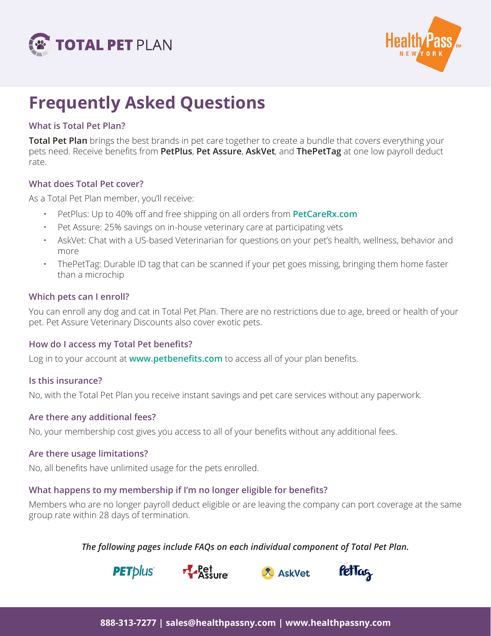



# **Frequently Asked Questions**

### **What is Total Pet Plan?**

**Total Pet Plan** brings the best brands in pet care together to create a bundle that covers everything your pets need. Receive benefits from **PetPlus**, **Pet Assure**, **AskVet**, and **ThePetTag** at one low payroll deduct rate.

#### **What does Total Pet cover?**

As a Total Pet Plan member, you'll receive:

- PetPlus: Up to 40% off and free shipping on all orders from **PetCareRx.com**
- Pet Assure: 25% savings on in-house veterinary care at participating vets
- AskVet: Chat with a US-based Veterinarian for questions on your pet's health, wellness, behavior and more
- ThePetTag: Durable ID tag that can be scanned if your pet goes missing, bringing them home faster than a microchip

#### **Which pets can I enroll?**

You can enroll any dog and cat in Total Pet Plan. There are no restrictions due to age, breed or health of your pet. Pet Assure Veterinary Discounts also cover exotic pets.

#### **How do I access my Total Pet benefits?**

Log in to your account at **www.petbenefits.com** to access all of your plan benefits.

#### **Is this insurance?**

No, with the Total Pet Plan you receive instant savings and pet care services without any paperwork.

#### **Are there any additional fees?**

No, your membership cost gives you access to all of your benefits without any additional fees.

#### **Are there usage limitations?**

No, all benefits have unlimited usage for the pets enrolled.

#### **What happens to my membership if I'm no longer eligible for benefits?**

Members who are no longer payroll deduct eligible or are leaving the company can port coverage at the same group rate within 28 days of termination.

*The following pages include FAQs on each individual component of Total Pet Plan.*







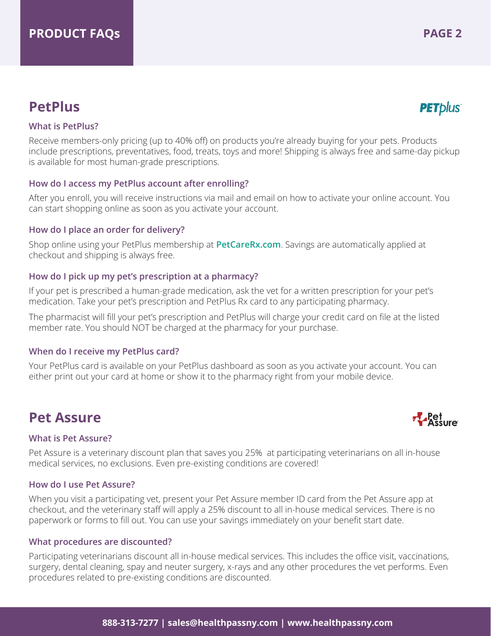# **What is PetPlus?**

Receive members-only pricing (up to 40% off) on products you're already buying for your pets. Products include prescriptions, preventatives, food, treats, toys and more! Shipping is always free and same-day pickup is available for most human-grade prescriptions.

# **How do I access my PetPlus account after enrolling?**

After you enroll, you will receive instructions via mail and email on how to activate your online account. You can start shopping online as soon as you activate your account.

# **How do I place an order for delivery?**

Shop online using your PetPlus membership at **PetCareRx.com**. Savings are automatically applied at checkout and shipping is always free.

#### **How do I pick up my pet's prescription at a pharmacy?**

If your pet is prescribed a human-grade medication, ask the vet for a written prescription for your pet's medication. Take your pet's prescription and PetPlus Rx card to any participating pharmacy.

The pharmacist will fill your pet's prescription and PetPlus will charge your credit card on file at the listed member rate. You should NOT be charged at the pharmacy for your purchase.

# **When do I receive my PetPlus card?**

Your PetPlus card is available on your PetPlus dashboard as soon as you activate your account. You can either print out your card at home or show it to the pharmacy right from your mobile device.

# **Pet Assure**

#### **What is Pet Assure?**

Pet Assure is a veterinary discount plan that saves you 25% at participating veterinarians on all in-house medical services, no exclusions. Even pre-existing conditions are covered!

#### **How do I use Pet Assure?**

When you visit a participating vet, present your Pet Assure member ID card from the Pet Assure app at checkout, and the veterinary staff will apply a 25% discount to all in-house medical services. There is no paperwork or forms to fill out. You can use your savings immediately on your benefit start date.

#### **What procedures are discounted?**

Participating veterinarians discount all in-house medical services. This includes the office visit, vaccinations, surgery, dental cleaning, spay and neuter surgery, x-rays and any other procedures the vet performs. Even procedures related to pre-existing conditions are discounted.



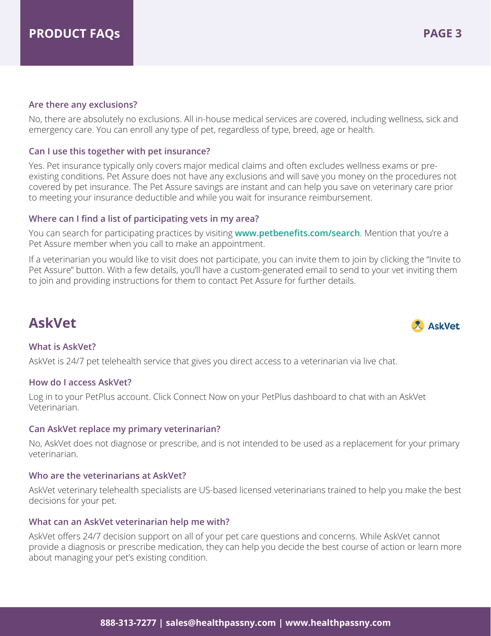#### **Are there any exclusions?**

No, there are absolutely no exclusions. All in-house medical services are covered, including wellness, sick and emergency care. You can enroll any type of pet, regardless of type, breed, age or health.

#### **Can I use this together with pet insurance?**

Yes. Pet insurance typically only covers major medical claims and often excludes wellness exams or preexisting conditions. Pet Assure does not have any exclusions and will save you money on the procedures not covered by pet insurance. The Pet Assure savings are instant and can help you save on veterinary care prior to meeting your insurance deductible and while you wait for insurance reimbursement.

#### **Where can I find a list of participating vets in my area?**

You can search for participating practices by visiting **www.petbenefits.com/search**. Mention that you're a Pet Assure member when you call to make an appointment.

If a veterinarian you would like to visit does not participate, you can invite them to join by clicking the "Invite to Pet Assure" button. With a few details, you'll have a custom-generated email to send to your vet inviting them to join and providing instructions for them to contact Pet Assure for further details.

# **AskVet**

# **What is AskVet?**

AskVet is 24/7 pet telehealth service that gives you direct access to a veterinarian via live chat.

#### **How do I access AskVet?**

Log in to your PetPlus account. Click Connect Now on your PetPlus dashboard to chat with an AskVet Veterinarian.

#### **Can AskVet replace my primary veterinarian?**

No, AskVet does not diagnose or prescribe, and is not intended to be used as a replacement for your primary veterinarian.

#### **Who are the veterinarians at AskVet?**

AskVet veterinary telehealth specialists are US-based licensed veterinarians trained to help you make the best decisions for your pet.

#### **What can an AskVet veterinarian help me with?**

AskVet offers 24/7 decision support on all of your pet care questions and concerns. While AskVet cannot provide a diagnosis or prescribe medication, they can help you decide the best course of action or learn more about managing your pet's existing condition.